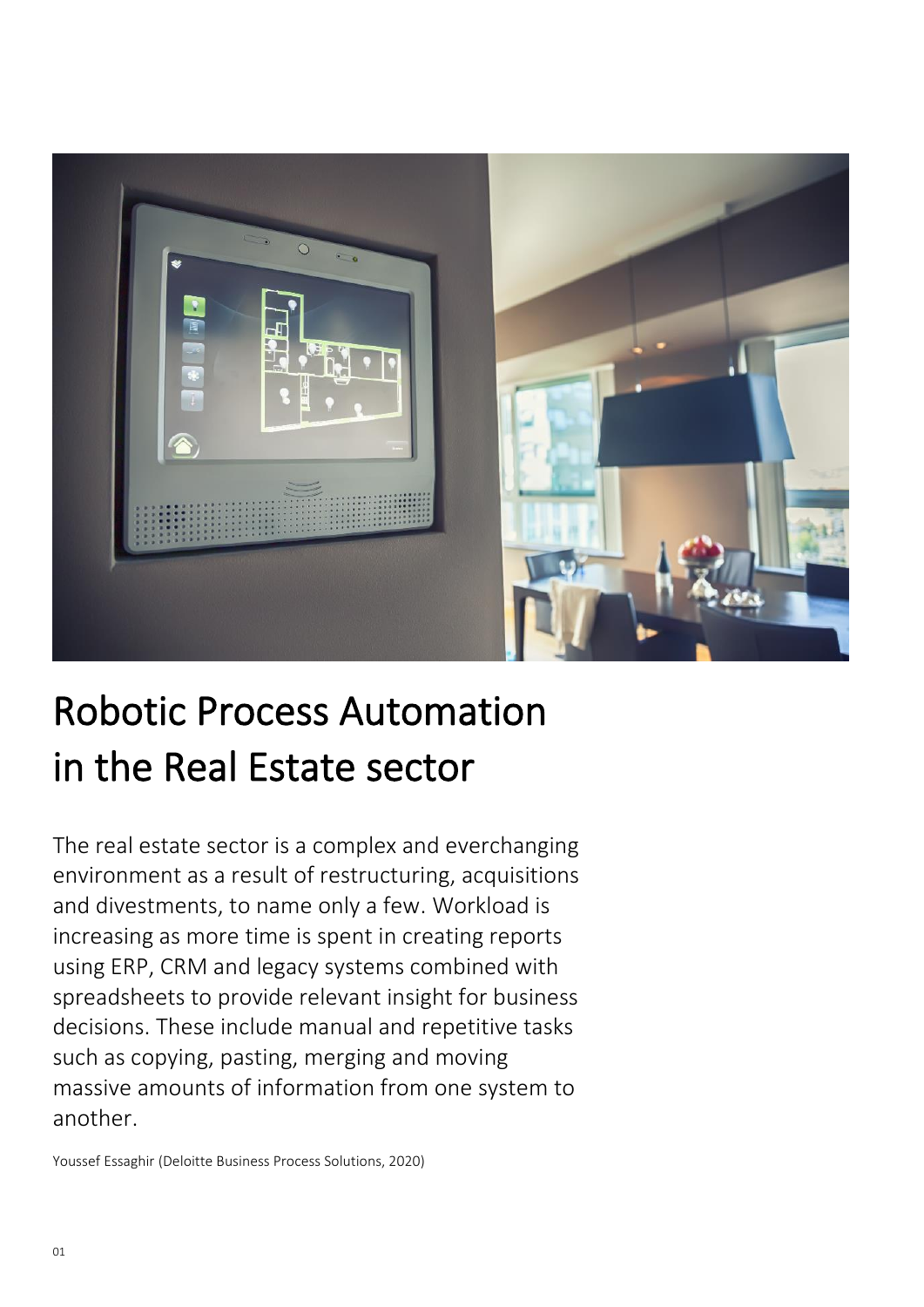

# Robotic Process Automation in the Real Estate sector

The real estate sector is a complex and everchanging environment as a result of restructuring, acquisitions and divestments, to name only a few. Workload is increasing as more time is spent in creating reports using ERP, CRM and legacy systems combined with spreadsheets to provide relevant insight for business decisions. These include manual and repetitive tasks such as copying, pasting, merging and moving massive amounts of information from one system to another.

Youssef Essaghir (Deloitte Business Process Solutions, 2020)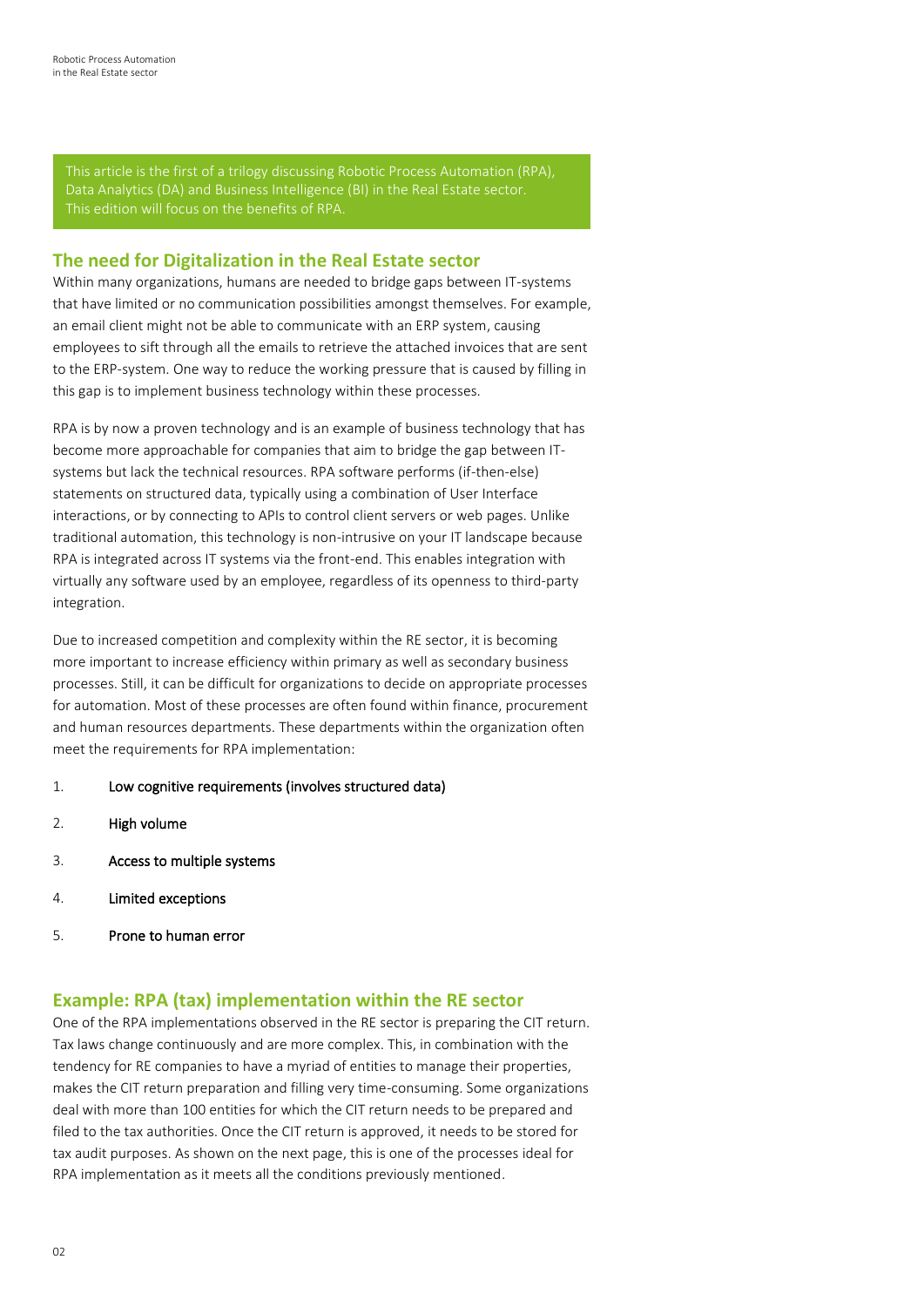This article is the first of a trilogy discussing Robotic Process Automation (RPA), Data Analytics (DA) and Business Intelligence (BI) in the Real Estate sector.

## **The need for Digitalization in the Real Estate sector**

Within many organizations, humans are needed to bridge gaps between IT-systems that have limited or no communication possibilities amongst themselves. For example, an email client might not be able to communicate with an ERP system, causing employees to sift through all the emails to retrieve the attached invoices that are sent to the ERP-system. One way to reduce the working pressure that is caused by filling in this gap is to implement business technology within these processes.

RPA is by now a proven technology and is an example of business technology that has become more approachable for companies that aim to bridge the gap between ITsystems but lack the technical resources. RPA software performs (if-then-else) statements on structured data, typically using a combination of User Interface interactions, or by connecting to APIs to control client servers or web pages. Unlike traditional automation, this technology is non-intrusive on your IT landscape because RPA is integrated across IT systems via the front-end. This enables integration with virtually any software used by an employee, regardless of its openness to third-party integration.

Due to increased competition and complexity within the RE sector, it is becoming more important to increase efficiency within primary as well as secondary business processes. Still, it can be difficult for organizations to decide on appropriate processes for automation. Most of these processes are often found within finance, procurement and human resources departments. These departments within the organization often meet the requirements for RPA implementation:

#### 1. Low cognitive requirements (involves structured data)

- 2. High volume
- 3. Access to multiple systems
- 4. Limited exceptions
- 5. Prone to human error

### **Example: RPA (tax) implementation within the RE sector**

One of the RPA implementations observed in the RE sector is preparing the CIT return. Tax laws change continuously and are more complex. This, in combination with the tendency for RE companies to have a myriad of entities to manage their properties, makes the CIT return preparation and filling very time-consuming. Some organizations deal with more than 100 entities for which the CIT return needs to be prepared and filed to the tax authorities. Once the CIT return is approved, it needs to be stored for tax audit purposes. As shown on the next page, this is one of the processes ideal for RPA implementation as it meets all the conditions previously mentioned.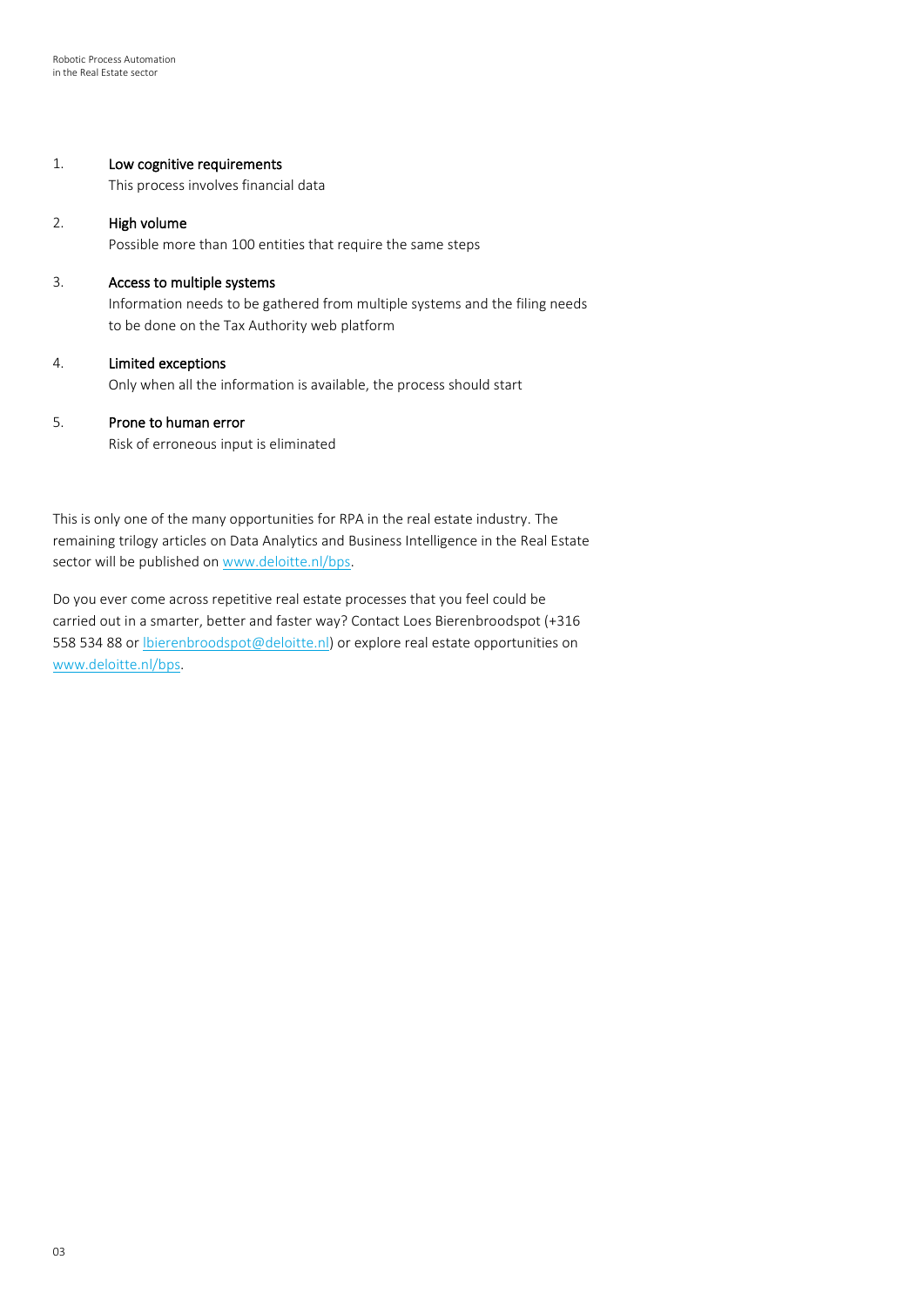#### 1. Low cognitive requirements

This process involves financial data

#### 2. High volume

Possible more than 100 entities that require the same steps

#### 3. Access to multiple systems

Information needs to be gathered from multiple systems and the filing needs to be done on the Tax Authority web platform

#### 4. Limited exceptions

Only when all the information is available, the process should start

#### 5. Prone to human error

Risk of erroneous input is eliminated

This is only one of the many opportunities for RPA in the real estate industry. The remaining trilogy articles on Data Analytics and Business Intelligence in the Real Estate sector will be published o[n www.deloitte.nl/bps.](http://www.deloitte.nl/bps)

Do you ever come across repetitive real estate processes that you feel could be carried out in a smarter, better and faster way? Contact Loes Bierenbroodspot (+316 558 534 88 or [lbierenbroodspot@deloitte.nl\)](mailto:lbierenbroodspot@deloitte.nl) or explore real estate opportunities on [www.deloitte.nl/bps.](http://www.deloitte.nl/bps)